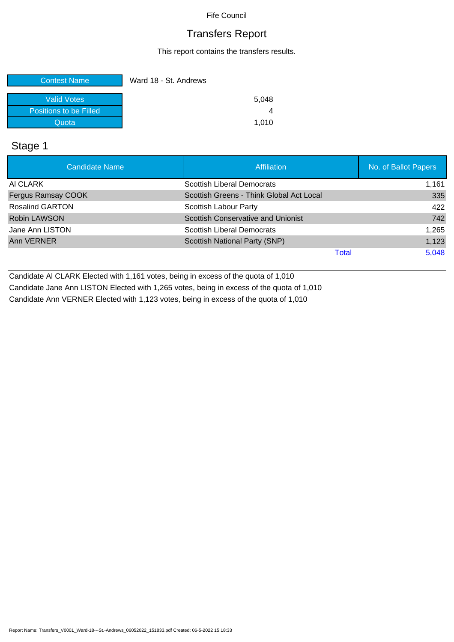## Transfers Report

This report contains the transfers results.

| <b>Contest Name</b>    | Ward 18 - St. Andrews |
|------------------------|-----------------------|
| <b>Valid Votes</b>     | 5.048                 |
| Positions to be Filled |                       |
| Quota                  | 1.010                 |

## Stage 1

| Candidate Name            | <b>Affiliation</b>                       | No. of Ballot Papers |
|---------------------------|------------------------------------------|----------------------|
| AI CLARK                  | <b>Scottish Liberal Democrats</b>        | 1,161                |
| <b>Fergus Ramsay COOK</b> | Scottish Greens - Think Global Act Local | 335                  |
| <b>Rosalind GARTON</b>    | Scottish Labour Party                    | 422                  |
| <b>Robin LAWSON</b>       | Scottish Conservative and Unionist       | 742                  |
| Jane Ann LISTON           | Scottish Liberal Democrats               | 1,265                |
| Ann VERNER                | Scottish National Party (SNP)            | 1,123                |
|                           | Total                                    | 5,048                |

Candidate Al CLARK Elected with 1,161 votes, being in excess of the quota of 1,010 Candidate Jane Ann LISTON Elected with 1,265 votes, being in excess of the quota of 1,010 Candidate Ann VERNER Elected with 1,123 votes, being in excess of the quota of 1,010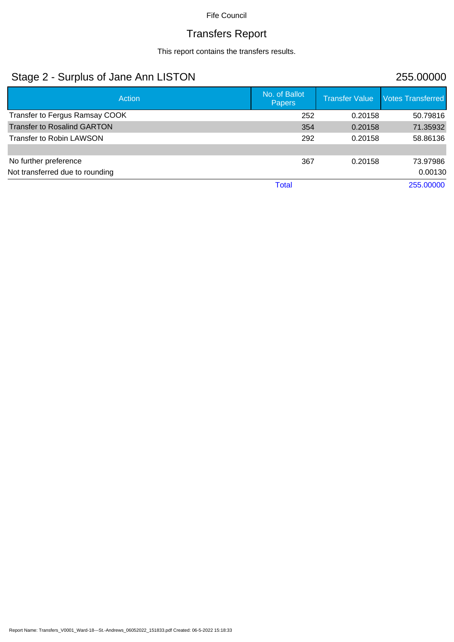# Transfers Report

This report contains the transfers results.

# Stage 2 - Surplus of Jane Ann LISTON 255.00000

| Action                             | No. of Ballot<br><b>Papers</b> | <b>Transfer Value</b> | <b>Votes Transferred</b> |
|------------------------------------|--------------------------------|-----------------------|--------------------------|
| Transfer to Fergus Ramsay COOK     | 252                            | 0.20158               | 50.79816                 |
| <b>Transfer to Rosalind GARTON</b> | 354                            | 0.20158               | 71.35932                 |
| Transfer to Robin LAWSON           | 292                            | 0.20158               | 58.86136                 |
|                                    |                                |                       |                          |
| No further preference              | 367                            | 0.20158               | 73.97986                 |
| Not transferred due to rounding    |                                |                       | 0.00130                  |
|                                    | Total                          |                       | 255.00000                |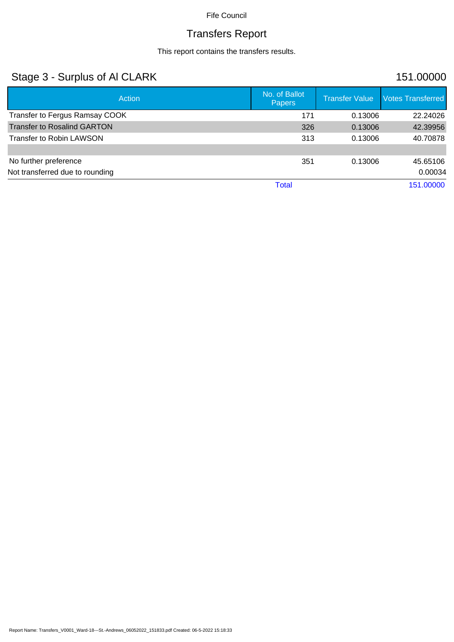# Transfers Report

This report contains the transfers results.

# Stage 3 - Surplus of Al CLARK 151.00000

| <b>Action</b>                      | No. of Ballot<br><b>Papers</b> | <b>Transfer Value</b> | <b>Votes Transferred</b> |
|------------------------------------|--------------------------------|-----------------------|--------------------------|
| Transfer to Fergus Ramsay COOK     | 171                            | 0.13006               | 22.24026                 |
| <b>Transfer to Rosalind GARTON</b> | 326                            | 0.13006               | 42.39956                 |
| <b>Transfer to Robin LAWSON</b>    | 313                            | 0.13006               | 40.70878                 |
|                                    |                                |                       |                          |
| No further preference              | 351                            | 0.13006               | 45.65106                 |
| Not transferred due to rounding    |                                |                       | 0.00034                  |
|                                    | Total                          |                       | 151.00000                |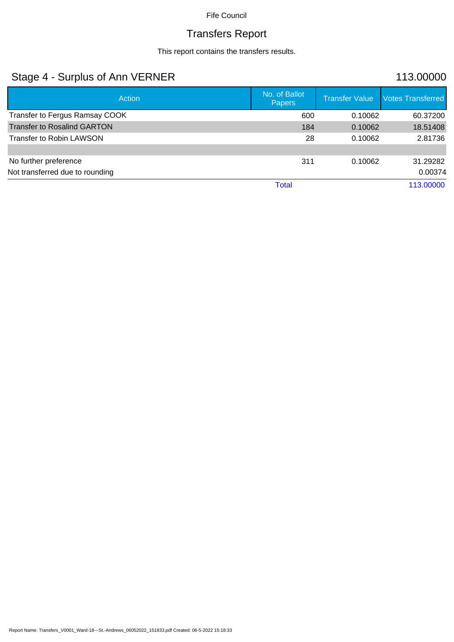# Transfers Report

This report contains the transfers results.

# Stage 4 - Surplus of Ann VERNER 113.00000

| <b>Action</b>                      | No. of Ballot<br>Papers | <b>Transfer Value</b> | <b>Votes Transferred</b> |
|------------------------------------|-------------------------|-----------------------|--------------------------|
| Transfer to Fergus Ramsay COOK     | 600                     | 0.10062               | 60.37200                 |
| <b>Transfer to Rosalind GARTON</b> | 184                     | 0.10062               | 18.51408                 |
| <b>Transfer to Robin LAWSON</b>    | 28                      | 0.10062               | 2.81736                  |
|                                    |                         |                       |                          |
| No further preference              | 311                     | 0.10062               | 31.29282                 |
| Not transferred due to rounding    |                         |                       | 0.00374                  |
|                                    | Total                   |                       | 113.00000                |

Report Name: Transfers\_V0001\_Ward-18---St.-Andrews\_06052022\_151833.pdf Created: 06-5-2022 15:18:33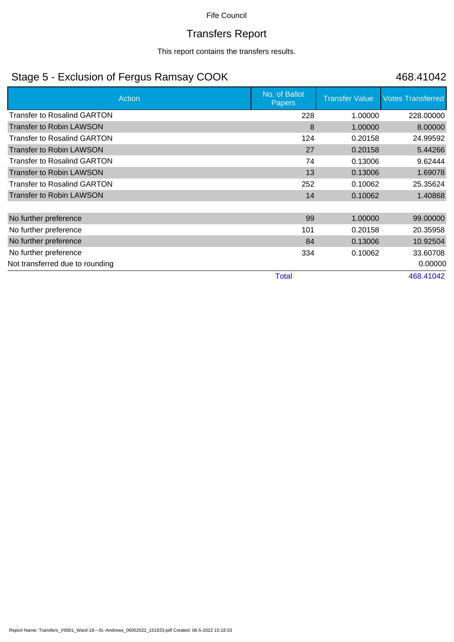# Transfers Report

This report contains the transfers results.

# Stage 5 - Exclusion of Fergus Ramsay COOK 468.41042

| Action                             | No. of Ballot<br><b>Papers</b> | <b>Transfer Value</b> | <b>Votes Transferred</b> |
|------------------------------------|--------------------------------|-----------------------|--------------------------|
| <b>Transfer to Rosalind GARTON</b> | 228                            | 1.00000               | 228.00000                |
| <b>Transfer to Robin LAWSON</b>    | 8                              | 1.00000               | 8.00000                  |
| <b>Transfer to Rosalind GARTON</b> | 124                            | 0.20158               | 24.99592                 |
| <b>Transfer to Robin LAWSON</b>    | 27                             | 0.20158               | 5.44266                  |
| <b>Transfer to Rosalind GARTON</b> | 74                             | 0.13006               | 9.62444                  |
| <b>Transfer to Robin LAWSON</b>    | 13                             | 0.13006               | 1.69078                  |
| <b>Transfer to Rosalind GARTON</b> | 252                            | 0.10062               | 25.35624                 |
| <b>Transfer to Robin LAWSON</b>    | 14                             | 0.10062               | 1.40868                  |
|                                    |                                |                       |                          |
| No further preference              | 99                             | 1.00000               | 99.00000                 |
| No further preference              | 101                            | 0.20158               | 20.35958                 |
| No further preference              | 84                             | 0.13006               | 10.92504                 |
| No further preference              | 334                            | 0.10062               | 33.60708                 |
| Not transferred due to rounding    |                                |                       | 0.00000                  |
|                                    | <b>Total</b>                   |                       | 468.41042                |